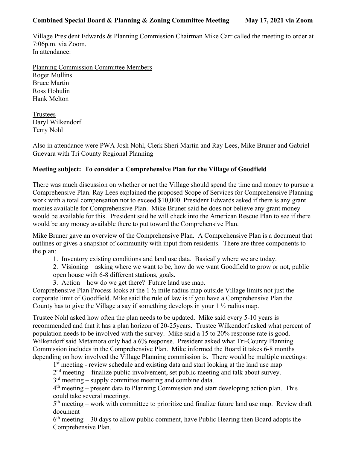## **Combined Special Board & Planning & Zoning Committee Meeting May 17, 2021 via Zoom**

Village President Edwards & Planning Commission Chairman Mike Carr called the meeting to order at 7:06p.m. via Zoom. In attendance:

Planning Commission Committee Members Roger Mullins Bruce Martin Ross Hohulin Hank Melton

Trustees Daryl Wilkendorf Terry Nohl

Also in attendance were PWA Josh Nohl, Clerk Sheri Martin and Ray Lees, Mike Bruner and Gabriel Guevara with Tri County Regional Planning

## **Meeting subject: To consider a Comprehensive Plan for the Village of Goodfield**

There was much discussion on whether or not the Village should spend the time and money to pursue a Comprehensive Plan. Ray Lees explained the proposed Scope of Services for Comprehensive Planning work with a total compensation not to exceed \$10,000. President Edwards asked if there is any grant monies available for Comprehensive Plan. Mike Bruner said he does not believe any grant money would be available for this. President said he will check into the American Rescue Plan to see if there would be any money available there to put toward the Comprehensive Plan.

Mike Bruner gave an overview of the Comprehensive Plan. A Comprehensive Plan is a document that outlines or gives a snapshot of community with input from residents. There are three components to the plan:

1. Inventory existing conditions and land use data. Basically where we are today.

2. Visioning – asking where we want to be, how do we want Goodfield to grow or not, public open house with 6-8 different stations, goals.

3. Action – how do we get there? Future land use map.

Comprehensive Plan Process looks at the 1 ½ mile radius map outside Village limits not just the corporate limit of Goodfield. Mike said the rule of law is if you have a Comprehensive Plan the County has to give the Village a say if something develops in your  $1 \frac{1}{2}$  radius map.

Trustee Nohl asked how often the plan needs to be updated. Mike said every 5-10 years is recommended and that it has a plan horizon of 20-25years. Trustee Wilkendorf asked what percent of population needs to be involved with the survey. Mike said a 15 to 20% response rate is good. Wilkendorf said Metamora only had a 6% response. President asked what Tri-County Planning Commission includes in the Comprehensive Plan. Mike informed the Board it takes 6-8 months depending on how involved the Village Planning commission is. There would be multiple meetings:

1<sup>st</sup> meeting - review schedule and existing data and start looking at the land use map

2nd meeting – finalize public involvement, set public meeting and talk about survey.

 $3<sup>rd</sup>$  meeting – supply committee meeting and combine data.

 $4<sup>th</sup>$  meeting – present data to Planning Commission and start developing action plan. This could take several meetings.

 $5<sup>th</sup> meeting – work with committee to prioritize and finalize future land use map. Review draft$ document

 $6<sup>th</sup> meeting – 30 days to allow public comment, have Public Hearing then Board adopts the$ Comprehensive Plan.